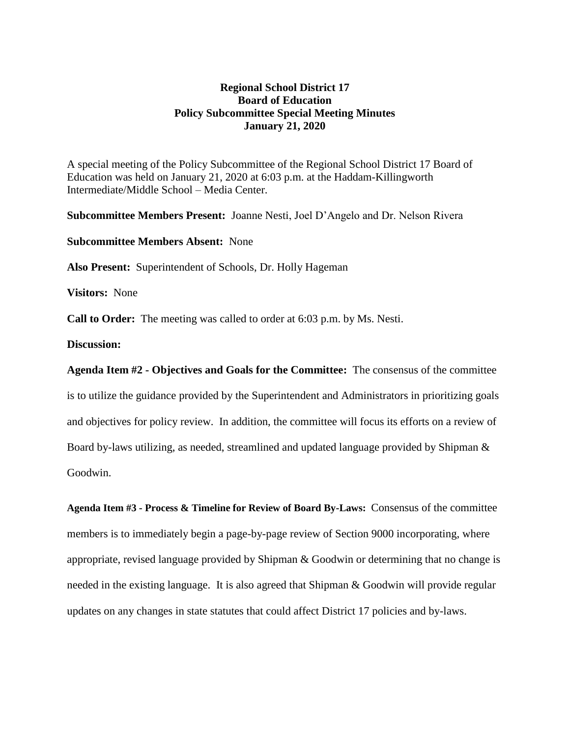## **Regional School District 17 Board of Education Policy Subcommittee Special Meeting Minutes January 21, 2020**

A special meeting of the Policy Subcommittee of the Regional School District 17 Board of Education was held on January 21, 2020 at 6:03 p.m. at the Haddam-Killingworth Intermediate/Middle School – Media Center.

**Subcommittee Members Present:** Joanne Nesti, Joel D'Angelo and Dr. Nelson Rivera

**Subcommittee Members Absent:** None

**Also Present:** Superintendent of Schools, Dr. Holly Hageman

**Visitors:** None

**Call to Order:** The meeting was called to order at 6:03 p.m. by Ms. Nesti.

## **Discussion:**

**Agenda Item #2 - Objectives and Goals for the Committee:** The consensus of the committee is to utilize the guidance provided by the Superintendent and Administrators in prioritizing goals and objectives for policy review. In addition, the committee will focus its efforts on a review of Board by-laws utilizing, as needed, streamlined and updated language provided by Shipman & Goodwin.

**Agenda Item #3 - Process & Timeline for Review of Board By-Laws:** Consensus of the committee members is to immediately begin a page-by-page review of Section 9000 incorporating, where appropriate, revised language provided by Shipman & Goodwin or determining that no change is needed in the existing language. It is also agreed that Shipman & Goodwin will provide regular updates on any changes in state statutes that could affect District 17 policies and by-laws.